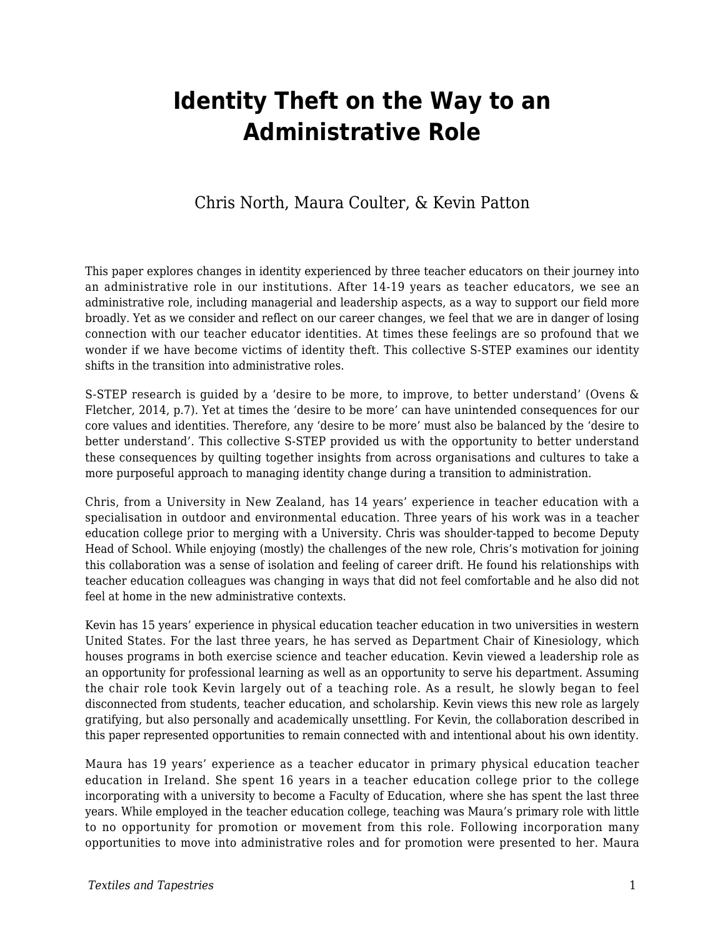# **Identity Theft on the Way to an Administrative Role**

#### Chris North, Maura Coulter, & Kevin Patton

This paper explores changes in identity experienced by three teacher educators on their journey into an administrative role in our institutions. After 14-19 years as teacher educators, we see an administrative role, including managerial and leadership aspects, as a way to support our field more broadly. Yet as we consider and reflect on our career changes, we feel that we are in danger of losing connection with our teacher educator identities. At times these feelings are so profound that we wonder if we have become victims of identity theft. This collective S-STEP examines our identity shifts in the transition into administrative roles.

S-STEP research is guided by a 'desire to be more, to improve, to better understand' (Ovens & Fletcher, 2014, p.7). Yet at times the 'desire to be more' can have unintended consequences for our core values and identities. Therefore, any 'desire to be more' must also be balanced by the 'desire to better understand'. This collective S-STEP provided us with the opportunity to better understand these consequences by quilting together insights from across organisations and cultures to take a more purposeful approach to managing identity change during a transition to administration.

Chris, from a University in New Zealand, has 14 years' experience in teacher education with a specialisation in outdoor and environmental education. Three years of his work was in a teacher education college prior to merging with a University. Chris was shoulder-tapped to become Deputy Head of School. While enjoying (mostly) the challenges of the new role, Chris's motivation for joining this collaboration was a sense of isolation and feeling of career drift. He found his relationships with teacher education colleagues was changing in ways that did not feel comfortable and he also did not feel at home in the new administrative contexts.

Kevin has 15 years' experience in physical education teacher education in two universities in western United States. For the last three years, he has served as Department Chair of Kinesiology, which houses programs in both exercise science and teacher education. Kevin viewed a leadership role as an opportunity for professional learning as well as an opportunity to serve his department. Assuming the chair role took Kevin largely out of a teaching role. As a result, he slowly began to feel disconnected from students, teacher education, and scholarship. Kevin views this new role as largely gratifying, but also personally and academically unsettling. For Kevin, the collaboration described in this paper represented opportunities to remain connected with and intentional about his own identity.

Maura has 19 years' experience as a teacher educator in primary physical education teacher education in Ireland. She spent 16 years in a teacher education college prior to the college incorporating with a university to become a Faculty of Education, where she has spent the last three years. While employed in the teacher education college, teaching was Maura's primary role with little to no opportunity for promotion or movement from this role. Following incorporation many opportunities to move into administrative roles and for promotion were presented to her. Maura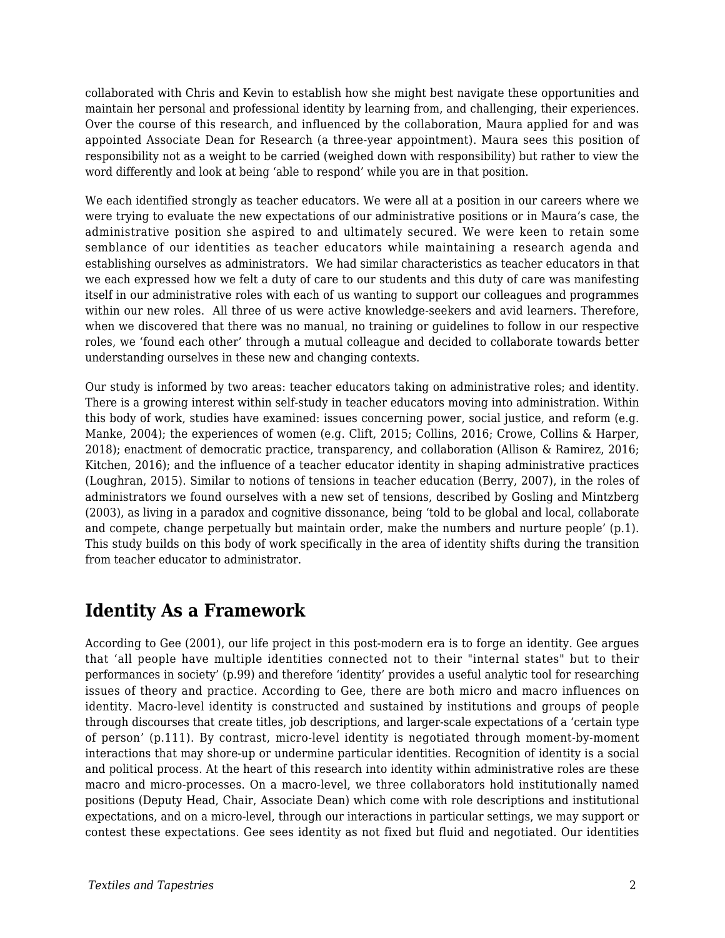collaborated with Chris and Kevin to establish how she might best navigate these opportunities and maintain her personal and professional identity by learning from, and challenging, their experiences. Over the course of this research, and influenced by the collaboration, Maura applied for and was appointed Associate Dean for Research (a three-year appointment). Maura sees this position of responsibility not as a weight to be carried (weighed down with responsibility) but rather to view the word differently and look at being 'able to respond' while you are in that position.

We each identified strongly as teacher educators. We were all at a position in our careers where we were trying to evaluate the new expectations of our administrative positions or in Maura's case, the administrative position she aspired to and ultimately secured. We were keen to retain some semblance of our identities as teacher educators while maintaining a research agenda and establishing ourselves as administrators. We had similar characteristics as teacher educators in that we each expressed how we felt a duty of care to our students and this duty of care was manifesting itself in our administrative roles with each of us wanting to support our colleagues and programmes within our new roles. All three of us were active knowledge-seekers and avid learners. Therefore, when we discovered that there was no manual, no training or guidelines to follow in our respective roles, we 'found each other' through a mutual colleague and decided to collaborate towards better understanding ourselves in these new and changing contexts.

Our study is informed by two areas: teacher educators taking on administrative roles; and identity. There is a growing interest within self-study in teacher educators moving into administration. Within this body of work, studies have examined: issues concerning power, social justice, and reform (e.g. Manke, 2004); the experiences of women (e.g. Clift, 2015; Collins, 2016; Crowe, Collins & Harper, 2018); enactment of democratic practice, transparency, and collaboration (Allison & Ramirez, 2016; Kitchen, 2016); and the influence of a teacher educator identity in shaping administrative practices (Loughran, 2015). Similar to notions of tensions in teacher education (Berry, 2007), in the roles of administrators we found ourselves with a new set of tensions, described by Gosling and Mintzberg (2003), as living in a paradox and cognitive dissonance, being 'told to be global and local, collaborate and compete, change perpetually but maintain order, make the numbers and nurture people' (p.1). This study builds on this body of work specifically in the area of identity shifts during the transition from teacher educator to administrator.

### **Identity As a Framework**

According to Gee (2001), our life project in this post-modern era is to forge an identity. Gee argues that 'all people have multiple identities connected not to their "internal states" but to their performances in society' (p.99) and therefore 'identity' provides a useful analytic tool for researching issues of theory and practice. According to Gee, there are both micro and macro influences on identity. Macro-level identity is constructed and sustained by institutions and groups of people through discourses that create titles, job descriptions, and larger-scale expectations of a 'certain type of person' (p.111). By contrast, micro-level identity is negotiated through moment-by-moment interactions that may shore-up or undermine particular identities. Recognition of identity is a social and political process. At the heart of this research into identity within administrative roles are these macro and micro-processes. On a macro-level, we three collaborators hold institutionally named positions (Deputy Head, Chair, Associate Dean) which come with role descriptions and institutional expectations, and on a micro-level, through our interactions in particular settings, we may support or contest these expectations. Gee sees identity as not fixed but fluid and negotiated. Our identities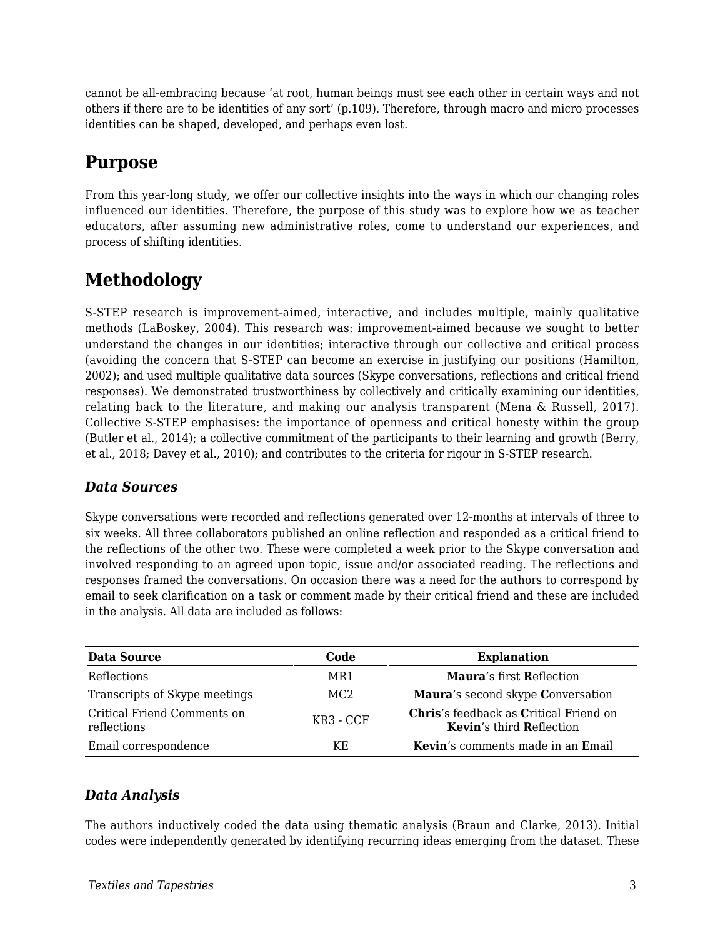cannot be all-embracing because 'at root, human beings must see each other in certain ways and not others if there are to be identities of any sort' (p.109). Therefore, through macro and micro processes identities can be shaped, developed, and perhaps even lost.

### **Purpose**

From this year-long study, we offer our collective insights into the ways in which our changing roles influenced our identities. Therefore, the purpose of this study was to explore how we as teacher educators, after assuming new administrative roles, come to understand our experiences, and process of shifting identities.

# **Methodology**

S-STEP research is improvement-aimed, interactive, and includes multiple, mainly qualitative methods (LaBoskey, 2004). This research was: improvement-aimed because we sought to better understand the changes in our identities; interactive through our collective and critical process (avoiding the concern that S-STEP can become an exercise in justifying our positions (Hamilton, 2002); and used multiple qualitative data sources (Skype conversations, reflections and critical friend responses). We demonstrated trustworthiness by collectively and critically examining our identities, relating back to the literature, and making our analysis transparent (Mena & Russell, 2017). Collective S-STEP emphasises: the importance of openness and critical honesty within the group (Butler et al., 2014); a collective commitment of the participants to their learning and growth (Berry, et al., 2018; Davey et al., 2010); and contributes to the criteria for rigour in S-STEP research.

#### *Data Sources*

Skype conversations were recorded and reflections generated over 12-months at intervals of three to six weeks. All three collaborators published an online reflection and responded as a critical friend to the reflections of the other two. These were completed a week prior to the Skype conversation and involved responding to an agreed upon topic, issue and/or associated reading. The reflections and responses framed the conversations. On occasion there was a need for the authors to correspond by email to seek clarification on a task or comment made by their critical friend and these are included in the analysis. All data are included as follows:

| <b>Data Source</b>                         | Code      | <b>Explanation</b>                                                        |
|--------------------------------------------|-----------|---------------------------------------------------------------------------|
| Reflections                                | MR1       | <b>Maura's first Reflection</b>                                           |
| Transcripts of Skype meetings              | MC2       | Maura's second skype Conversation                                         |
| Critical Friend Comments on<br>reflections | KR3 - CCF | Chris's feedback as Critical Friend on<br><b>Kevin's third Reflection</b> |
| Email correspondence                       | ΚE        | Kevin's comments made in an Email                                         |

#### *Data Analysis*

The authors inductively coded the data using thematic analysis (Braun and Clarke, 2013). Initial codes were independently generated by identifying recurring ideas emerging from the dataset. These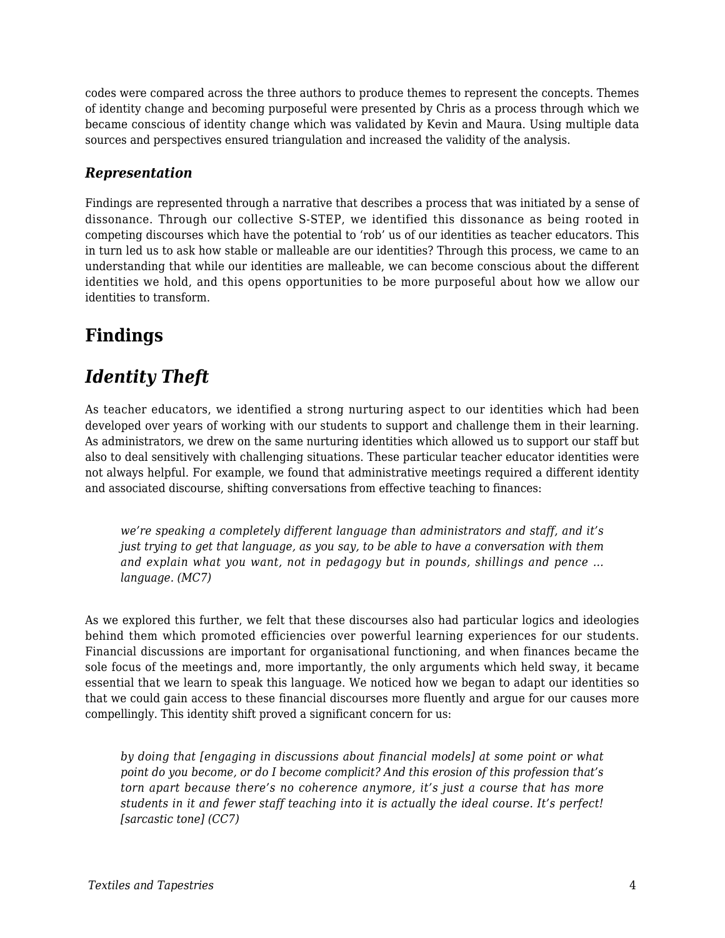codes were compared across the three authors to produce themes to represent the concepts. Themes of identity change and becoming purposeful were presented by Chris as a process through which we became conscious of identity change which was validated by Kevin and Maura. Using multiple data sources and perspectives ensured triangulation and increased the validity of the analysis.

#### *Representation*

Findings are represented through a narrative that describes a process that was initiated by a sense of dissonance. Through our collective S-STEP, we identified this dissonance as being rooted in competing discourses which have the potential to 'rob' us of our identities as teacher educators. This in turn led us to ask how stable or malleable are our identities? Through this process, we came to an understanding that while our identities are malleable, we can become conscious about the different identities we hold, and this opens opportunities to be more purposeful about how we allow our identities to transform.

### **Findings**

### *Identity Theft*

As teacher educators, we identified a strong nurturing aspect to our identities which had been developed over years of working with our students to support and challenge them in their learning. As administrators, we drew on the same nurturing identities which allowed us to support our staff but also to deal sensitively with challenging situations. These particular teacher educator identities were not always helpful. For example, we found that administrative meetings required a different identity and associated discourse, shifting conversations from effective teaching to finances:

*we're speaking a completely different language than administrators and staff, and it's just trying to get that language, as you say, to be able to have a conversation with them and explain what you want, not in pedagogy but in pounds, shillings and pence … language. (MC7)*

As we explored this further, we felt that these discourses also had particular logics and ideologies behind them which promoted efficiencies over powerful learning experiences for our students. Financial discussions are important for organisational functioning, and when finances became the sole focus of the meetings and, more importantly, the only arguments which held sway, it became essential that we learn to speak this language. We noticed how we began to adapt our identities so that we could gain access to these financial discourses more fluently and argue for our causes more compellingly. This identity shift proved a significant concern for us:

*by doing that [engaging in discussions about financial models] at some point or what point do you become, or do I become complicit? And this erosion of this profession that's torn apart because there's no coherence anymore, it's just a course that has more students in it and fewer staff teaching into it is actually the ideal course. It's perfect! [sarcastic tone] (CC7)*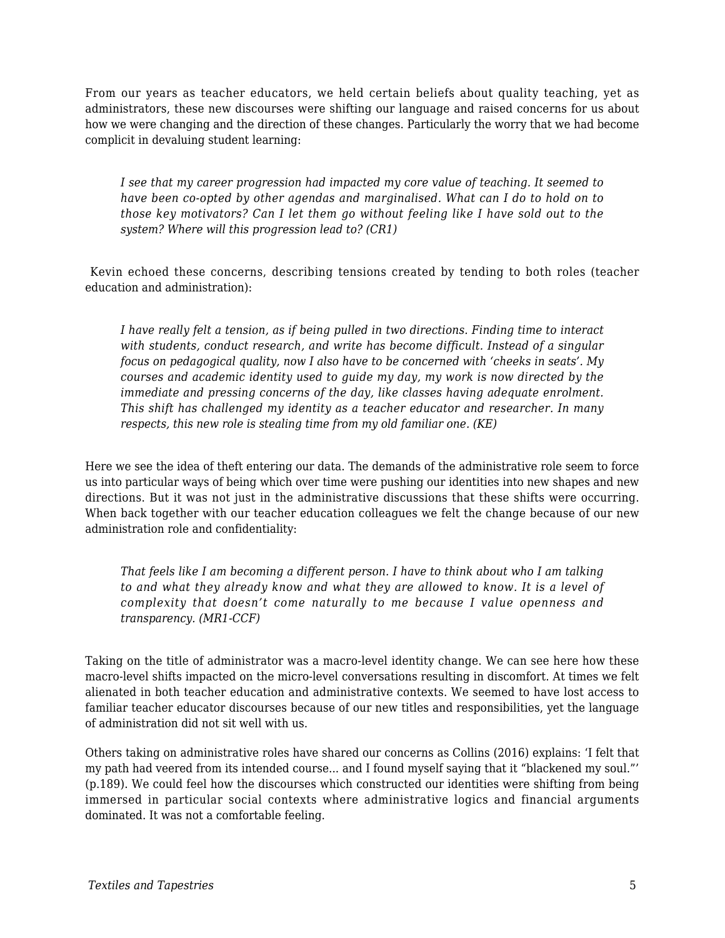From our years as teacher educators, we held certain beliefs about quality teaching, yet as administrators, these new discourses were shifting our language and raised concerns for us about how we were changing and the direction of these changes. Particularly the worry that we had become complicit in devaluing student learning:

*I see that my career progression had impacted my core value of teaching. It seemed to have been co-opted by other agendas and marginalised. What can I do to hold on to those key motivators? Can I let them go without feeling like I have sold out to the system? Where will this progression lead to? (CR1)*

Kevin echoed these concerns, describing tensions created by tending to both roles (teacher education and administration):

*I have really felt a tension, as if being pulled in two directions. Finding time to interact with students, conduct research, and write has become difficult. Instead of a singular focus on pedagogical quality, now I also have to be concerned with 'cheeks in seats'. My courses and academic identity used to guide my day, my work is now directed by the immediate and pressing concerns of the day, like classes having adequate enrolment. This shift has challenged my identity as a teacher educator and researcher. In many respects, this new role is stealing time from my old familiar one. (KE)*

Here we see the idea of theft entering our data. The demands of the administrative role seem to force us into particular ways of being which over time were pushing our identities into new shapes and new directions. But it was not just in the administrative discussions that these shifts were occurring. When back together with our teacher education colleagues we felt the change because of our new administration role and confidentiality:

*That feels like I am becoming a different person. I have to think about who I am talking to and what they already know and what they are allowed to know. It is a level of complexity that doesn't come naturally to me because I value openness and transparency. (MR1-CCF)*

Taking on the title of administrator was a macro-level identity change. We can see here how these macro-level shifts impacted on the micro-level conversations resulting in discomfort. At times we felt alienated in both teacher education and administrative contexts. We seemed to have lost access to familiar teacher educator discourses because of our new titles and responsibilities, yet the language of administration did not sit well with us.

Others taking on administrative roles have shared our concerns as Collins (2016) explains: 'I felt that my path had veered from its intended course... and I found myself saying that it "blackened my soul."' (p.189). We could feel how the discourses which constructed our identities were shifting from being immersed in particular social contexts where administrative logics and financial arguments dominated. It was not a comfortable feeling.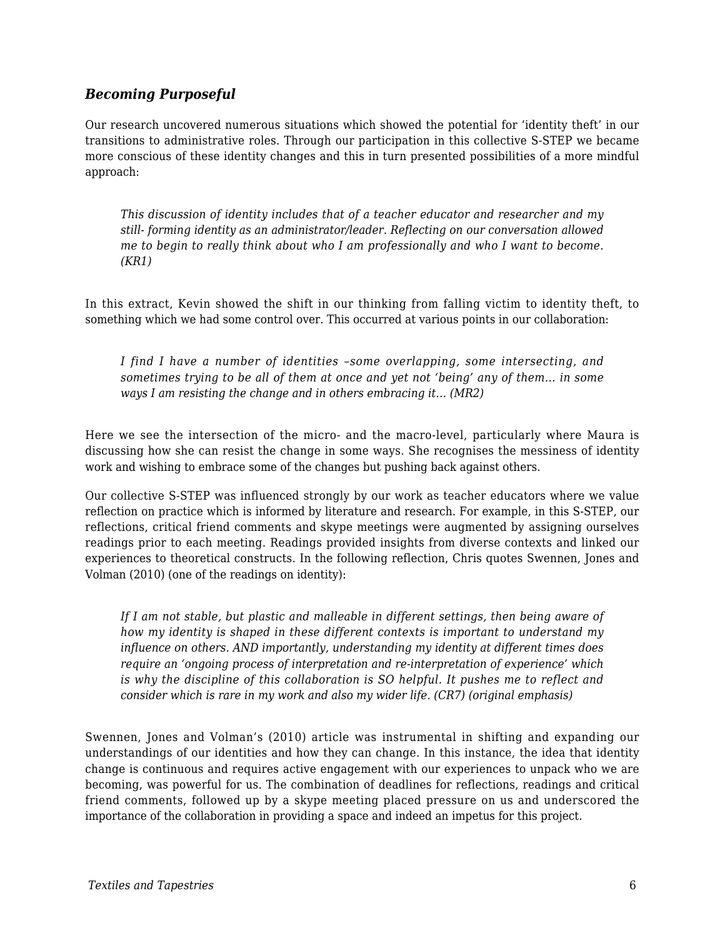#### *Becoming Purposeful*

Our research uncovered numerous situations which showed the potential for 'identity theft' in our transitions to administrative roles. Through our participation in this collective S-STEP we became more conscious of these identity changes and this in turn presented possibilities of a more mindful approach:

*This discussion of identity includes that of a teacher educator and researcher and my still- forming identity as an administrator/leader. Reflecting on our conversation allowed me to begin to really think about who I am professionally and who I want to become. (KR1)*

In this extract, Kevin showed the shift in our thinking from falling victim to identity theft, to something which we had some control over. This occurred at various points in our collaboration:

*I find I have a number of identities –some overlapping, some intersecting, and sometimes trying to be all of them at once and yet not 'being' any of them… in some ways I am resisting the change and in others embracing it… (MR2)*

Here we see the intersection of the micro- and the macro-level, particularly where Maura is discussing how she can resist the change in some ways. She recognises the messiness of identity work and wishing to embrace some of the changes but pushing back against others.

Our collective S-STEP was influenced strongly by our work as teacher educators where we value reflection on practice which is informed by literature and research. For example, in this S-STEP, our reflections, critical friend comments and skype meetings were augmented by assigning ourselves readings prior to each meeting. Readings provided insights from diverse contexts and linked our experiences to theoretical constructs. In the following reflection, Chris quotes Swennen, Jones and Volman (2010) (one of the readings on identity):

*If I am not stable, but plastic and malleable in different settings, then being aware of how my identity is shaped in these different contexts is important to understand my influence on others. AND importantly, understanding my identity at different times does require an 'ongoing process of interpretation and re-interpretation of experience' which is why the discipline of this collaboration is SO helpful. It pushes me to reflect and consider which is rare in my work and also my wider life. (CR7) (original emphasis)*

Swennen, Jones and Volman's (2010) article was instrumental in shifting and expanding our understandings of our identities and how they can change. In this instance, the idea that identity change is continuous and requires active engagement with our experiences to unpack who we are becoming, was powerful for us. The combination of deadlines for reflections, readings and critical friend comments, followed up by a skype meeting placed pressure on us and underscored the importance of the collaboration in providing a space and indeed an impetus for this project.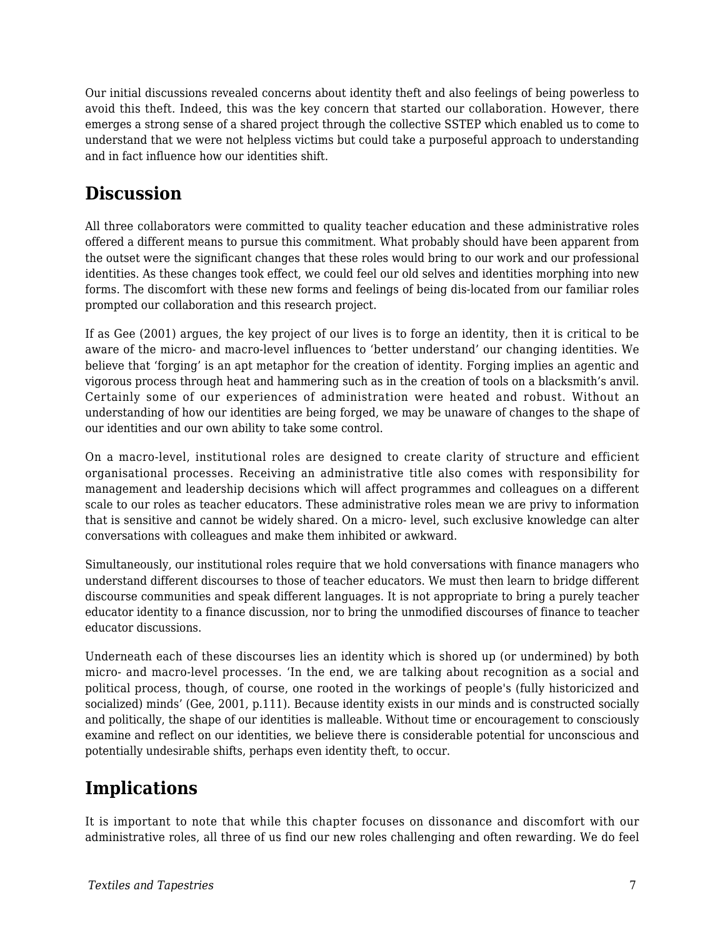Our initial discussions revealed concerns about identity theft and also feelings of being powerless to avoid this theft. Indeed, this was the key concern that started our collaboration. However, there emerges a strong sense of a shared project through the collective SSTEP which enabled us to come to understand that we were not helpless victims but could take a purposeful approach to understanding and in fact influence how our identities shift.

### **Discussion**

All three collaborators were committed to quality teacher education and these administrative roles offered a different means to pursue this commitment. What probably should have been apparent from the outset were the significant changes that these roles would bring to our work and our professional identities. As these changes took effect, we could feel our old selves and identities morphing into new forms. The discomfort with these new forms and feelings of being dis-located from our familiar roles prompted our collaboration and this research project.

If as Gee (2001) argues, the key project of our lives is to forge an identity, then it is critical to be aware of the micro- and macro-level influences to 'better understand' our changing identities. We believe that 'forging' is an apt metaphor for the creation of identity. Forging implies an agentic and vigorous process through heat and hammering such as in the creation of tools on a blacksmith's anvil. Certainly some of our experiences of administration were heated and robust. Without an understanding of how our identities are being forged, we may be unaware of changes to the shape of our identities and our own ability to take some control.

On a macro-level, institutional roles are designed to create clarity of structure and efficient organisational processes. Receiving an administrative title also comes with responsibility for management and leadership decisions which will affect programmes and colleagues on a different scale to our roles as teacher educators. These administrative roles mean we are privy to information that is sensitive and cannot be widely shared. On a micro- level, such exclusive knowledge can alter conversations with colleagues and make them inhibited or awkward.

Simultaneously, our institutional roles require that we hold conversations with finance managers who understand different discourses to those of teacher educators. We must then learn to bridge different discourse communities and speak different languages. It is not appropriate to bring a purely teacher educator identity to a finance discussion, nor to bring the unmodified discourses of finance to teacher educator discussions.

Underneath each of these discourses lies an identity which is shored up (or undermined) by both micro- and macro-level processes. 'In the end, we are talking about recognition as a social and political process, though, of course, one rooted in the workings of people's (fully historicized and socialized) minds' (Gee, 2001, p.111). Because identity exists in our minds and is constructed socially and politically, the shape of our identities is malleable. Without time or encouragement to consciously examine and reflect on our identities, we believe there is considerable potential for unconscious and potentially undesirable shifts, perhaps even identity theft, to occur.

## **Implications**

It is important to note that while this chapter focuses on dissonance and discomfort with our administrative roles, all three of us find our new roles challenging and often rewarding. We do feel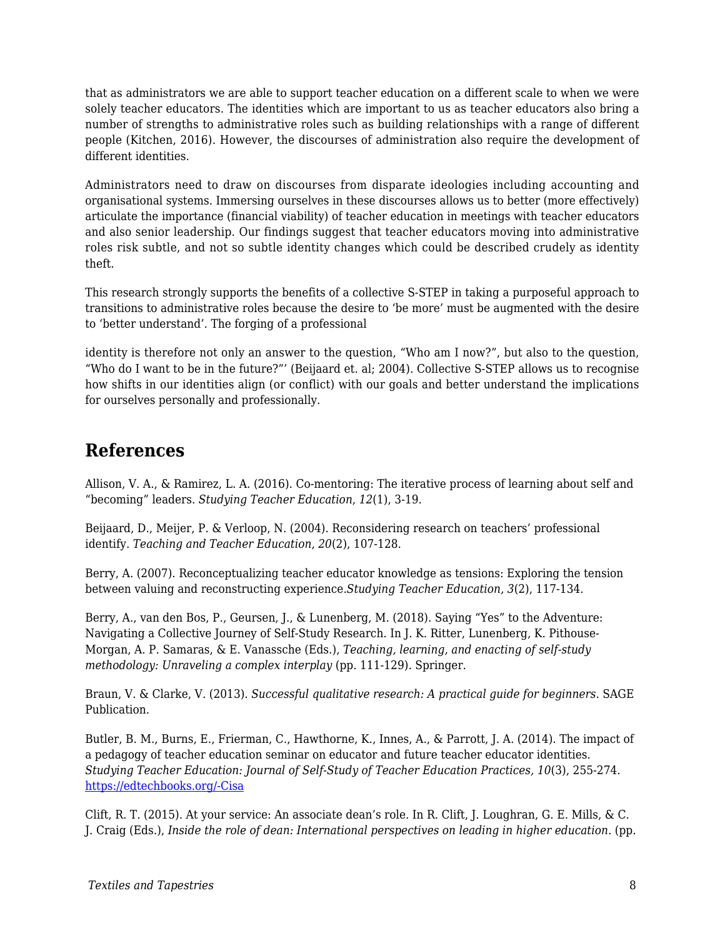that as administrators we are able to support teacher education on a different scale to when we were solely teacher educators. The identities which are important to us as teacher educators also bring a number of strengths to administrative roles such as building relationships with a range of different people (Kitchen, 2016). However, the discourses of administration also require the development of different identities.

Administrators need to draw on discourses from disparate ideologies including accounting and organisational systems. Immersing ourselves in these discourses allows us to better (more effectively) articulate the importance (financial viability) of teacher education in meetings with teacher educators and also senior leadership. Our findings suggest that teacher educators moving into administrative roles risk subtle, and not so subtle identity changes which could be described crudely as identity theft.

This research strongly supports the benefits of a collective S-STEP in taking a purposeful approach to transitions to administrative roles because the desire to 'be more' must be augmented with the desire to 'better understand'. The forging of a professional

identity is therefore not only an answer to the question, "Who am I now?", but also to the question, "Who do I want to be in the future?"' (Beijaard et. al; 2004). Collective S-STEP allows us to recognise how shifts in our identities align (or conflict) with our goals and better understand the implications for ourselves personally and professionally.

### **References**

Allison, V. A., & Ramirez, L. A. (2016). Co-mentoring: The iterative process of learning about self and "becoming" leaders. *Studying Teacher Education*, *12*(1), 3-19.

Beijaard, D., Meijer, P. & Verloop, N. (2004). Reconsidering research on teachers' professional identify. *Teaching and Teacher Education*, *20*(2), 107-128.

Berry, A. (2007). Reconceptualizing teacher educator knowledge as tensions: Exploring the tension between valuing and reconstructing experience.*Studying Teacher Education, 3*(2), 117-134.

Berry, A., van den Bos, P., Geursen, J., & Lunenberg, M. (2018). Saying "Yes" to the Adventure: Navigating a Collective Journey of Self-Study Research. In J. K. Ritter, Lunenberg, K. Pithouse-Morgan, A. P. Samaras, & E. Vanassche (Eds.), *Teaching, learning, and enacting of self-study methodology: Unraveling a complex interplay* (pp. 111-129). Springer.

Braun, V. & Clarke, V. (2013). *Successful qualitative research: A practical guide for beginners*. SAGE Publication.

Butler, B. M., Burns, E., Frierman, C., Hawthorne, K., Innes, A., & Parrott, J. A. (2014). The impact of a pedagogy of teacher education seminar on educator and future teacher educator identities. *Studying Teacher Education: Journal of Self-Study of Teacher Education Practices, 10*(3), 255-274. [https://edtechbooks.org/-Cisa](https://doi.org/10.1080/17425964.2014.956716)

Clift, R. T. (2015). At your service: An associate dean's role. In R. Clift, J. Loughran, G. E. Mills, & C. J. Craig (Eds.), *Inside the role of dean: International perspectives on leading in higher education.* (pp.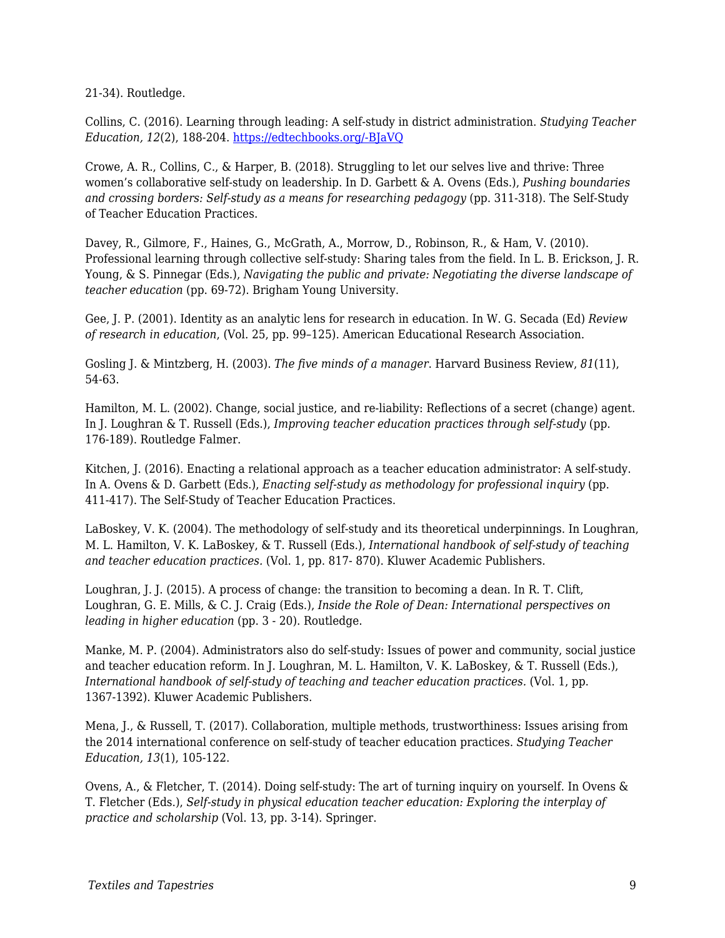21-34). Routledge.

Collins, C. (2016). Learning through leading: A self-study in district administration. *Studying Teacher Education, 12*(2), 188-204. [https://edtechbooks.org/-BJaVQ](https://doi.org/10.1080/17425964.2016.1192029)

Crowe, A. R., Collins, C., & Harper, B. (2018). Struggling to let our selves live and thrive: Three women's collaborative self-study on leadership. In D. Garbett & A. Ovens (Eds.), *Pushing boundaries and crossing borders: Self-study as a means for researching pedagogy* (pp. 311-318). The Self-Study of Teacher Education Practices.

Davey, R., Gilmore, F., Haines, G., McGrath, A., Morrow, D., Robinson, R., & Ham, V. (2010). Professional learning through collective self-study: Sharing tales from the field. In L. B. Erickson, J. R. Young, & S. Pinnegar (Eds.), *Navigating the public and private: Negotiating the diverse landscape of teacher education* (pp. 69-72). Brigham Young University.

Gee, J. P. (2001). Identity as an analytic lens for research in education. In W. G. Secada (Ed) *Review of research in education*, (Vol. 25, pp. 99–125). American Educational Research Association.

Gosling J. & Mintzberg, H. (2003). *The five minds of a manager*. Harvard Business Review, *81*(11), 54-63.

Hamilton, M. L. (2002). Change, social justice, and re-liability: Reflections of a secret (change) agent. In J. Loughran & T. Russell (Eds.), *Improving teacher education practices through self-study* (pp. 176-189). Routledge Falmer.

Kitchen, J. (2016). Enacting a relational approach as a teacher education administrator: A self-study. In A. Ovens & D. Garbett (Eds.), *Enacting self-study as methodology for professional inquiry* (pp. 411-417). The Self-Study of Teacher Education Practices.

LaBoskey, V. K. (2004). The methodology of self-study and its theoretical underpinnings. In Loughran, M. L. Hamilton, V. K. LaBoskey, & T. Russell (Eds.), *International handbook of self-study of teaching and teacher education practices.* (Vol. 1, pp. 817- 870). Kluwer Academic Publishers.

Loughran, J. J. (2015). A process of change: the transition to becoming a dean. In R. T. Clift, Loughran, G. E. Mills, & C. J. Craig (Eds.), *Inside the Role of Dean: International perspectives on leading in higher education* (pp. 3 - 20). Routledge.

Manke, M. P. (2004). Administrators also do self-study: Issues of power and community, social justice and teacher education reform. In J. Loughran, M. L. Hamilton, V. K. LaBoskey, & T. Russell (Eds.), *International handbook of self-study of teaching and teacher education practices.* (Vol. 1, pp. 1367-1392). Kluwer Academic Publishers.

Mena, J., & Russell, T. (2017). Collaboration, multiple methods, trustworthiness: Issues arising from the 2014 international conference on self-study of teacher education practices. *Studying Teacher Education, 13*(1), 105-122.

Ovens, A., & Fletcher, T. (2014). Doing self-study: The art of turning inquiry on yourself. In Ovens & T. Fletcher (Eds.), *Self-study in physical education teacher education: Exploring the interplay of practice and scholarship* (Vol. 13, pp. 3-14). Springer.